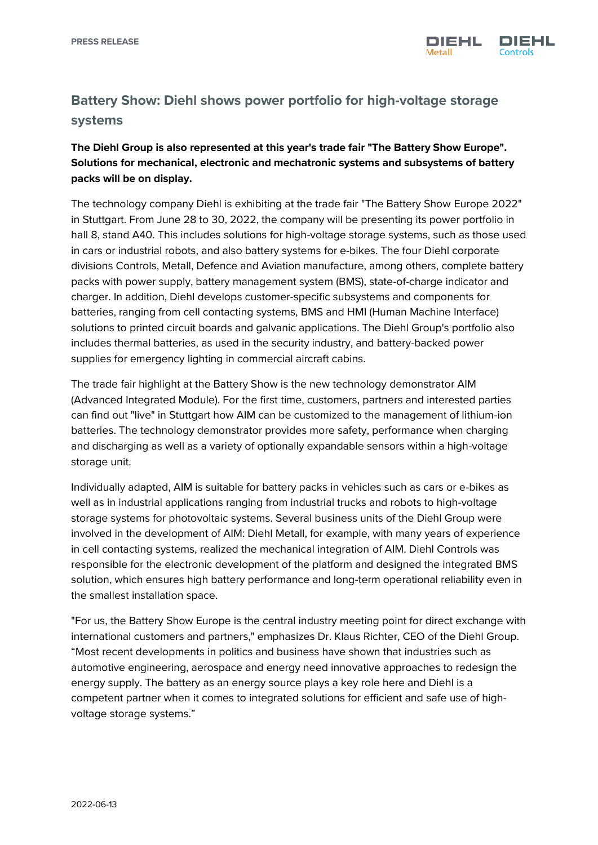

## **Battery Show: Diehl shows power portfolio for high-voltage storage systems**

## **The Diehl Group is also represented at this year's trade fair "The Battery Show Europe". Solutions for mechanical, electronic and mechatronic systems and subsystems of battery packs will be on display.**

The technology company Diehl is exhibiting at the trade fair "The Battery Show Europe 2022" in Stuttgart. From June 28 to 30, 2022, the company will be presenting its power portfolio in hall 8, stand A40. This includes solutions for high-voltage storage systems, such as those used in cars or industrial robots, and also battery systems for e-bikes. The four Diehl corporate divisions Controls, Metall, Defence and Aviation manufacture, among others, complete battery packs with power supply, battery management system (BMS), state-of-charge indicator and charger. In addition, Diehl develops customer-specific subsystems and components for batteries, ranging from cell contacting systems, BMS and HMI (Human Machine Interface) solutions to printed circuit boards and galvanic applications. The Diehl Group's portfolio also includes thermal batteries, as used in the security industry, and battery-backed power supplies for emergency lighting in commercial aircraft cabins.

The trade fair highlight at the Battery Show is the new technology demonstrator AIM (Advanced Integrated Module). For the first time, customers, partners and interested parties can find out "live" in Stuttgart how AIM can be customized to the management of lithium-ion batteries. The technology demonstrator provides more safety, performance when charging and discharging as well as a variety of optionally expandable sensors within a high-voltage storage unit.

Individually adapted, AIM is suitable for battery packs in vehicles such as cars or e-bikes as well as in industrial applications ranging from industrial trucks and robots to high-voltage storage systems for photovoltaic systems. Several business units of the Diehl Group were involved in the development of AIM: Diehl Metall, for example, with many years of experience in cell contacting systems, realized the mechanical integration of AIM. Diehl Controls was responsible for the electronic development of the platform and designed the integrated BMS solution, which ensures high battery performance and long-term operational reliability even in the smallest installation space.

"For us, the Battery Show Europe is the central industry meeting point for direct exchange with international customers and partners," emphasizes Dr. Klaus Richter, CEO of the Diehl Group. "Most recent developments in politics and business have shown that industries such as automotive engineering, aerospace and energy need innovative approaches to redesign the energy supply. The battery as an energy source plays a key role here and Diehl is a competent partner when it comes to integrated solutions for efficient and safe use of highvoltage storage systems."